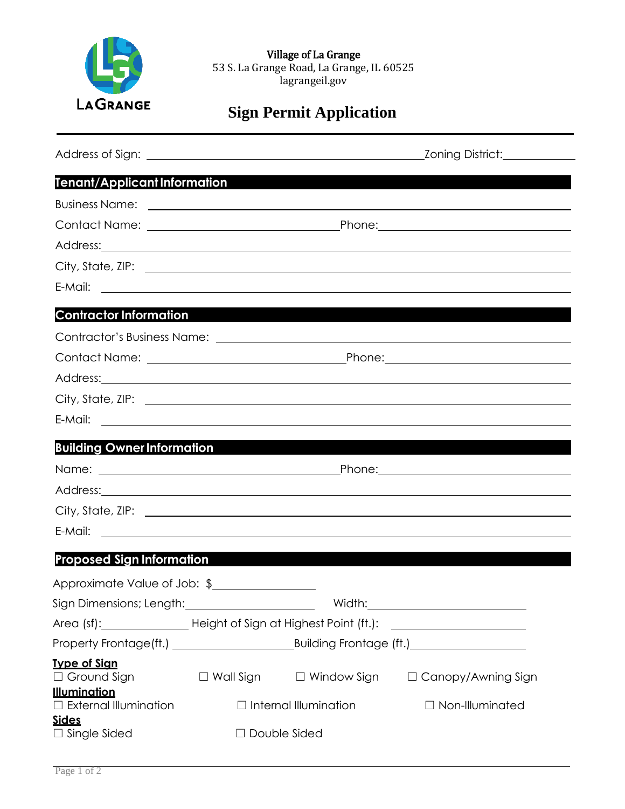

Village of La Grange 53 S. La Grange Road, La Grange, IL 60525 lagrangeil.gov

# **Sign Permit Application**

| <b>Tenant/Applicant Information</b>                                                                          |                |                              |                                                                                                               |
|--------------------------------------------------------------------------------------------------------------|----------------|------------------------------|---------------------------------------------------------------------------------------------------------------|
|                                                                                                              |                |                              |                                                                                                               |
|                                                                                                              |                |                              |                                                                                                               |
|                                                                                                              |                |                              | Address: 2008. 2008. 2009. 2010. 2010. 2010. 2010. 2010. 2010. 2010. 2010. 2010. 2010. 2010. 2010. 2010. 2010 |
|                                                                                                              |                |                              |                                                                                                               |
|                                                                                                              |                |                              |                                                                                                               |
| <b>Contractor Information</b>                                                                                |                |                              |                                                                                                               |
| Contractor's Business Name: Latin Management and Contractor's Business Name: Latin Management and Contractor |                |                              |                                                                                                               |
|                                                                                                              |                |                              |                                                                                                               |
|                                                                                                              |                |                              | Address: Address:                                                                                             |
|                                                                                                              |                |                              |                                                                                                               |
|                                                                                                              |                |                              |                                                                                                               |
| <b>Building Owner Information</b>                                                                            |                |                              |                                                                                                               |
|                                                                                                              |                |                              |                                                                                                               |
|                                                                                                              |                |                              | Address: Address:                                                                                             |
|                                                                                                              |                |                              |                                                                                                               |
|                                                                                                              |                |                              |                                                                                                               |
| <b>Proposed Sign Information</b>                                                                             |                |                              |                                                                                                               |
| Approximate Value of Job: \$                                                                                 |                |                              |                                                                                                               |
|                                                                                                              |                |                              |                                                                                                               |
|                                                                                                              |                |                              | Area (sf):__________________________Height of Sign at Highest Point (ft.): _________________________          |
|                                                                                                              |                |                              |                                                                                                               |
| <b>Type of Sign</b><br>$\Box$ Ground Sign                                                                    |                |                              | □ Wall Sign   □ Window Sign   □ Canopy/Awning Sign                                                            |
| <u>Illumination</u><br>$\Box$ External Illumination                                                          |                | $\Box$ Internal Illumination | $\Box$ Non-Illuminated                                                                                        |
| <u>Sides</u><br>$\Box$ Single Sided                                                                          | □ Double Sided |                              |                                                                                                               |